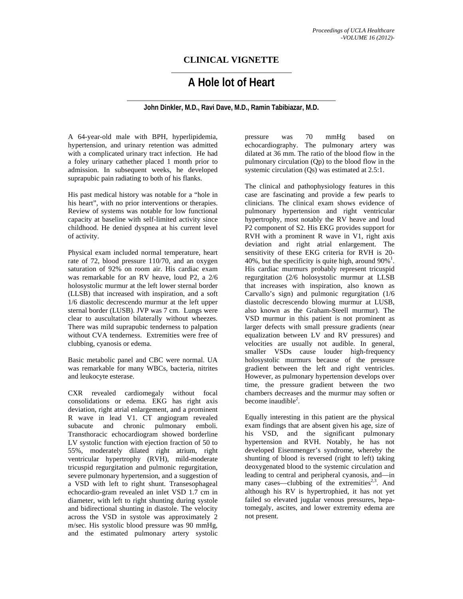## **CLINICAL VIGNETTE**

# **A Hole lot of Heart**

**John Dinkler, M.D., Ravi Dave, M.D., Ramin Tabibiazar, M.D.** 

A 64-year-old male with BPH, hyperlipidemia, hypertension, and urinary retention was admitted with a complicated urinary tract infection. He had a foley urinary cathether placed 1 month prior to admission. In subsequent weeks, he developed suprapubic pain radiating to both of his flanks.

His past medical history was notable for a "hole in his heart", with no prior interventions or therapies. Review of systems was notable for low functional capacity at baseline with self-limited activity since childhood. He denied dyspnea at his current level of activity.

Physical exam included normal temperature, heart rate of 72, blood pressure 110/70, and an oxygen saturation of 92% on room air. His cardiac exam was remarkable for an RV heave, loud P2, a 2/6 holosystolic murmur at the left lower sternal border (LLSB) that increased with inspiration, and a soft 1/6 diastolic decrescendo murmur at the left upper sternal border (LUSB). JVP was 7 cm. Lungs were clear to auscultation bilaterally without wheezes. There was mild suprapubic tenderness to palpation without CVA tenderness. Extremities were free of clubbing, cyanosis or edema.

Basic metabolic panel and CBC were normal. UA was remarkable for many WBCs, bacteria, nitrites and leukocyte esterase.

CXR revealed cardiomegaly without focal consolidations or edema. EKG has right axis deviation, right atrial enlargement, and a prominent R wave in lead V1. CT angiogram revealed subacute and chronic pulmonary emboli. Transthoracic echocardiogram showed borderline LV systolic function with ejection fraction of 50 to 55%, moderately dilated right atrium, right ventricular hypertrophy (RVH), mild-moderate tricuspid regurgitation and pulmonic regurgitation, severe pulmonary hypertension, and a suggestion of a VSD with left to right shunt. Transesophageal echocardio-gram revealed an inlet VSD 1.7 cm in diameter, with left to right shunting during systole and bidirectional shunting in diastole. The velocity across the VSD in systole was approximately 2 m/sec. His systolic blood pressure was 90 mmHg, and the estimated pulmonary artery systolic

pressure was 70 mmHg based on echocardiography. The pulmonary artery was dilated at 36 mm. The ratio of the blood flow in the pulmonary circulation (Qp) to the blood flow in the systemic circulation (Qs) was estimated at 2.5:1.

The clinical and pathophysiology features in this case are fascinating and provide a few pearls to clinicians. The clinical exam shows evidence of pulmonary hypertension and right ventricular hypertrophy, most notably the RV heave and loud P2 component of S2. His EKG provides support for RVH with a prominent R wave in V1, right axis deviation and right atrial enlargement. The sensitivity of these EKG criteria for RVH is 20- 40%, but the specificity is quite high, around  $90\%$ <sup>1</sup>. His cardiac murmurs probably represent tricuspid regurgitation (2/6 holosystolic murmur at LLSB that increases with inspiration, also known as Carvallo's sign) and pulmonic regurgitation (1/6 diastolic decrescendo blowing murmur at LUSB, also known as the Graham-Steell murmur). The VSD murmur in this patient is not prominent as larger defects with small pressure gradients (near equalization between LV and RV pressures) and velocities are usually not audible. In general, smaller VSDs cause louder high-frequency holosystolic murmurs because of the pressure gradient between the left and right ventricles. However, as pulmonary hypertension develops over time, the pressure gradient between the two chambers decreases and the murmur may soften or become inaudible<sup>2</sup>.

Equally interesting in this patient are the physical exam findings that are absent given his age, size of his VSD, and the significant pulmonary hypertension and RVH. Notably, he has not developed Eisenmenger's syndrome, whereby the shunting of blood is reversed (right to left) taking deoxygenated blood to the systemic circulation and leading to central and peripheral cyanosis, and—in many cases—clubbing of the extremities<sup>2,3</sup>. And although his RV is hypertrophied, it has not yet failed so elevated jugular venous pressures, hepatomegaly, ascites, and lower extremity edema are not present.